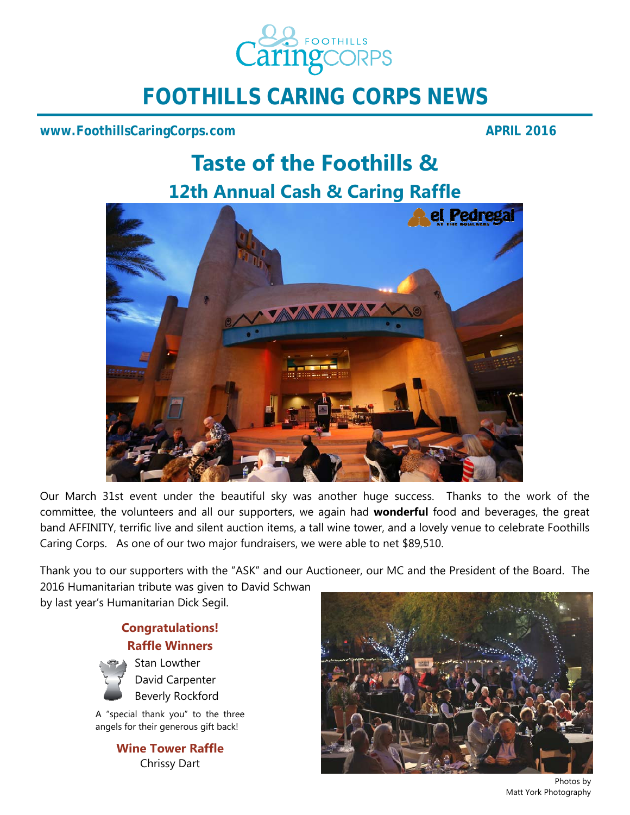

# **FOOTHILLS CARING CORPS NEWS**

### **www.FoothillsCaringCorps.com** APRIL 2016

# **Taste of the Foothills & 12th Annual Cash & Caring Raffle**



Our March 31st event under the beautiful sky was another huge success. Thanks to the work of the committee, the volunteers and all our supporters, we again had **wonderful** food and beverages, the great band AFFINITY, terrific live and silent auction items, a tall wine tower, and a lovely venue to celebrate Foothills Caring Corps. As one of our two major fundraisers, we were able to net \$89,510.

Thank you to our supporters with the "ASK" and our Auctioneer, our MC and the President of the Board. The

2016 Humanitarian tribute was given to David Schwan by last year's Humanitarian Dick Segil.

> **Congratulations! Raffle Winners**



David Carpenter Beverly Rockford

A "special thank you" to the three angels for their generous gift back!

> **Wine Tower Raffle**  Chrissy Dart



Photos by Matt York Photography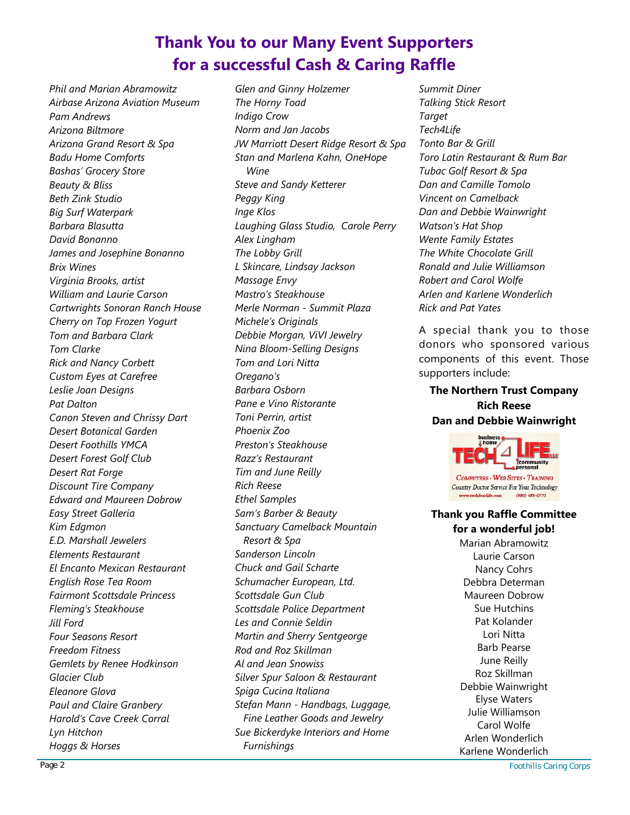## **Thank You to our Many Event Supporters for a successful Cash & Caring Raffle**

*Phil and Marian Abramowitz Airbase Arizona Aviation Museum Pam Andrews Arizona Biltmore Arizona Grand Resort & Spa Badu Home Comforts Bashas' Grocery Store Beauty & Bliss Beth Zink Studio Big Surf Waterpark Barbara Blasutta David Bonanno James and Josephine Bonanno Brix Wines Virginia Brooks, artist William and Laurie Carson Cartwrights Sonoran Ranch House Cherry on Top Frozen Yogurt Tom and Barbara Clark Tom Clarke Rick and Nancy Corbett Custom Eyes at Carefree Leslie Joan Designs Pat Dalton Canon Steven and Chrissy Dart Desert Botanical Garden Desert Foothills YMCA Desert Forest Golf Club Desert Rat Forge Discount Tire Company Edward and Maureen Dobrow Easy Street Galleria Kim Edgmon E.D. Marshall Jewelers Elements Restaurant El Encanto Mexican Restaurant English Rose Tea Room Fairmont Scottsdale Princess Fleming's Steakhouse Jill Ford Four Seasons Resort Freedom Fitness Gemlets by Renee Hodkinson Glacier Club Eleanore Glova Paul and Claire Granbery Harold's Cave Creek Corral Lyn Hitchon Hoggs & Horses* 

*Glen and Ginny Holzemer The Horny Toad Indigo Crow Norm and Jan Jacobs JW Marriott Desert Ridge Resort & Spa Stan and Marlena Kahn, OneHope Wine Steve and Sandy Ketterer Peggy King Inge Klos Laughing Glass Studio, Carole Perry Alex Lingham The Lobby Grill L Skincare, Lindsay Jackson Massage Envy Mastro's Steakhouse Merle Norman - Summit Plaza Michele's Originals Debbie Morgan, ViVI Jewelry Nina Bloom-Selling Designs Tom and Lori Nitta Oregano's Barbara Osborn Pane e Vino Ristorante Toni Perrin, artist Phoenix Zoo Preston's Steakhouse Razz's Restaurant Tim and June Reilly Rich Reese Ethel Samples Sam's Barber & Beauty Sanctuary Camelback Mountain Resort & Spa Sanderson Lincoln Chuck and Gail Scharte Schumacher European, Ltd. Scottsdale Gun Club Scottsdale Police Department Les and Connie Seldin Martin and Sherry Sentgeorge Rod and Roz Skillman Al and Jean Snowiss Silver Spur Saloon & Restaurant Spiga Cucina Italiana Stefan Mann - Handbags, Luggage, Fine Leather Goods and Jewelry Sue Bickerdyke Interiors and Home Furnishings* 

*Summit Diner Talking Stick Resort Target Tech4Life Tonto Bar & Grill Toro Latin Restaurant & Rum Bar Tubac Golf Resort & Spa Dan and Camille Tomolo Vincent on Camelback Dan and Debbie Wainwright Watson's Hat Shop Wente Family Estates The White Chocolate Grill Ronald and Julie Williamson Robert and Carol Wolfe Arlen and Karlene Wonderlich Rick and Pat Yates* 

A special thank you to those donors who sponsored various components of this event. Those supporters include:

#### **The Northern Trust Company Rich Reese Dan and Debbie Wainwright**



Country Doctor Service For Your Technology  $(480)$   $488 - 0773$ 

#### **Thank you Raffle Committee**

**for a wonderful job!** 

Marian Abramowitz Laurie Carson Nancy Cohrs Debbra Determan Maureen Dobrow Sue Hutchins Pat Kolander Lori Nitta Barb Pearse June Reilly Roz Skillman Debbie Wainwright Elyse Waters Julie Williamson Carol Wolfe Arlen Wonderlich Karlene Wonderlich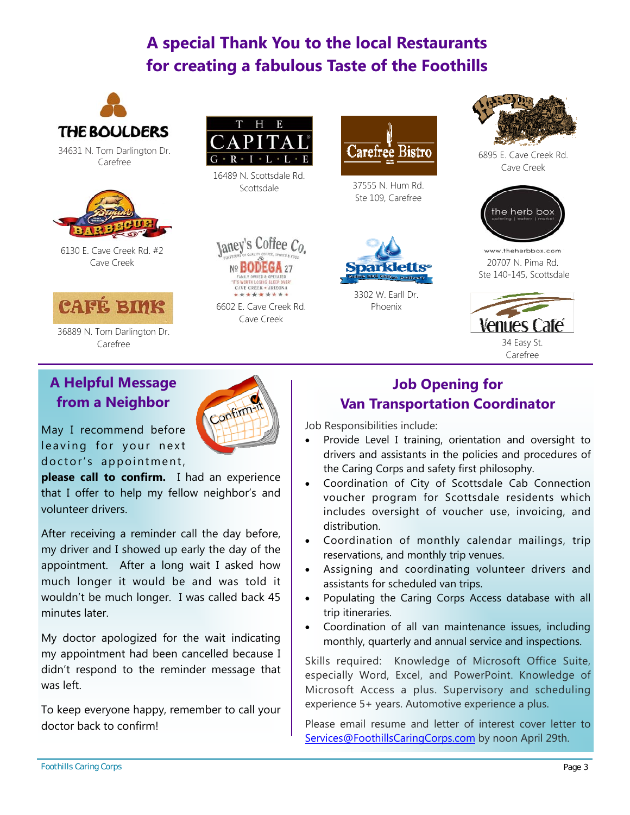## **A special Thank You to the local Restaurants for creating a fabulous Taste of the Foothills**



34631 N. Tom Darlington Dr. Carefree



6130 E. Cave Creek Rd. #2 Cave Creek



36889 N. Tom Darlington Dr. Carefree 34 Easy St.



16489 N. Scottsdale Rd. Scottsdale



6602 E. Cave Creek Rd. Cave Creek

Confirm-



37555 N. Hum Rd. Ste 109, Carefree



3302 W. Earll Dr. Phoenix



6895 E. Cave Creek Rd. Cave Creek



www.theherbbox.com 20707 N. Pima Rd. Ste 140-145, Scottsdale



Carefree

## **A Helpful Message from a Neighbor**

May I recommend before leaving for your next doctor's appointment,

**please call to confirm.** I had an experience that I offer to help my fellow neighbor's and volunteer drivers.

After receiving a reminder call the day before, my driver and I showed up early the day of the appointment. After a long wait I asked how much longer it would be and was told it wouldn't be much longer. I was called back 45 minutes later.

My doctor apologized for the wait indicating my appointment had been cancelled because I didn't respond to the reminder message that was left.

To keep everyone happy, remember to call your doctor back to confirm!



Job Responsibilities include:

- Provide Level I training, orientation and oversight to drivers and assistants in the policies and procedures of the Caring Corps and safety first philosophy.
- Coordination of City of Scottsdale Cab Connection voucher program for Scottsdale residents which includes oversight of voucher use, invoicing, and distribution.
- Coordination of monthly calendar mailings, trip reservations, and monthly trip venues.
- Assigning and coordinating volunteer drivers and assistants for scheduled van trips.
- Populating the Caring Corps Access database with all trip itineraries.
- Coordination of all van maintenance issues, including monthly, quarterly and annual service and inspections.

Skills required: Knowledge of Microsoft Office Suite, especially Word, Excel, and PowerPoint. Knowledge of Microsoft Access a plus. Supervisory and scheduling experience 5+ years. Automotive experience a plus.

Please email resume and letter of interest cover letter to Services@FoothillsCaringCorps.com by noon April 29th.